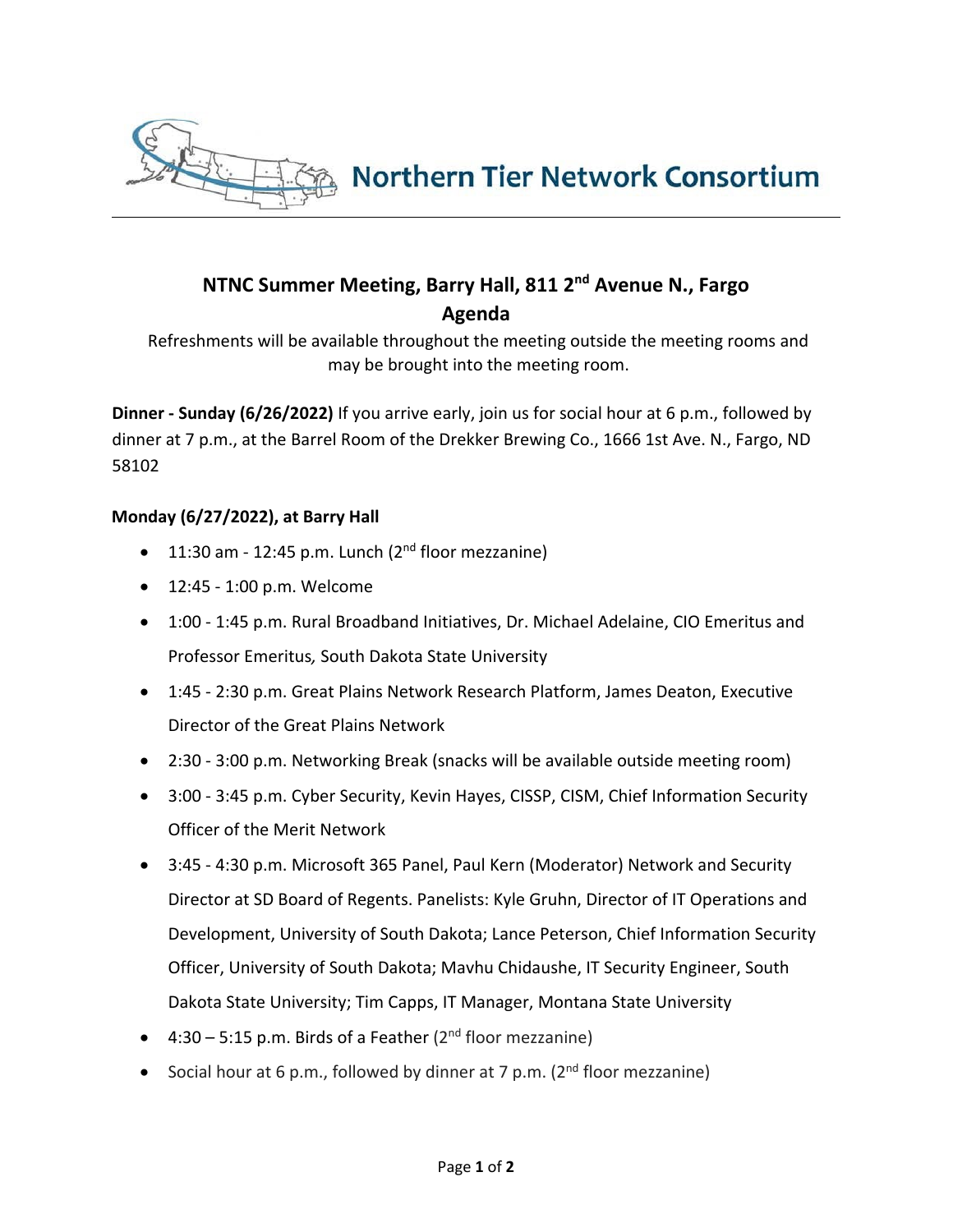

## **NTNC Summer Meeting, Barry Hall, 811 2nd Avenue N., Fargo Agenda**

Refreshments will be available throughout the meeting outside the meeting rooms and may be brought into the meeting room.

**Dinner - Sunday (6/26/2022)** If you arrive early, join us for social hour at 6 p.m., followed by dinner at 7 p.m., at the Barrel Room of the Drekker Brewing Co., 1666 1st Ave. N., Fargo, ND 58102

## **Monday (6/27/2022), at Barry Hall**

- $\bullet$  11:30 am 12:45 p.m. Lunch ( $2^{nd}$  floor mezzanine)
- 12:45 1:00 p.m. Welcome
- 1:00 1:45 p.m. Rural Broadband Initiatives, Dr. Michael Adelaine, CIO Emeritus and Professor Emeritus*,* South Dakota State University
- 1:45 2:30 p.m. Great Plains Network Research Platform, James Deaton, Executive Director of the Great Plains Network
- 2:30 3:00 p.m. Networking Break (snacks will be available outside meeting room)
- 3:00 3:45 p.m. Cyber Security, Kevin Hayes, CISSP, CISM, Chief Information Security Officer of the Merit Network
- 3:45 4:30 p.m. Microsoft 365 Panel, Paul Kern (Moderator) Network and Security Director at SD Board of Regents. Panelists: Kyle Gruhn, Director of IT Operations and Development, University of South Dakota; Lance Peterson, Chief Information Security Officer, University of South Dakota; Mavhu Chidaushe, IT Security Engineer, South Dakota State University; Tim Capps, IT Manager, Montana State University
- $\bullet$  4:30 5:15 p.m. Birds of a Feather (2<sup>nd</sup> floor mezzanine)
- Social hour at 6 p.m., followed by dinner at 7 p.m.  $(2^{nd}$  floor mezzanine)